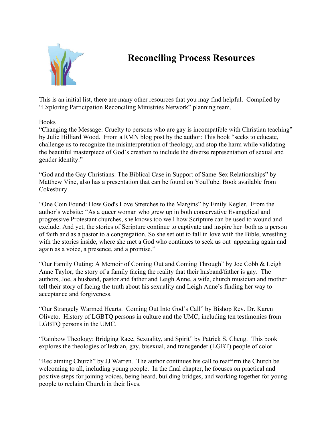

# **Reconciling Process Resources**

This is an initial list, there are many other resources that you may find helpful. Compiled by "Exploring Participation Reconciling Ministries Network" planning team.

### Books

"Changing the Message: Cruelty to persons who are gay is incompatible with Christian teaching" by Julie Hilliard Wood. From a RMN blog post by the author: This book "seeks to educate, challenge us to recognize the misinterpretation of theology, and stop the harm while validating the beautiful masterpiece of God's creation to include the diverse representation of sexual and gender identity."

"God and the Gay Christians: The Biblical Case in Support of Same-Sex Relationships" by Matthew Vine, also has a presentation that can be found on YouTube. Book available from Cokesbury.

"One Coin Found: How God's Love Stretches to the Margins" by Emily Kegler. From the author's website: "As a queer woman who grew up in both conservative Evangelical and progressive Protestant churches, she knows too well how Scripture can be used to wound and exclude. And yet, the stories of Scripture continue to captivate and inspire her–both as a person of faith and as a pastor to a congregation. So she set out to fall in love with the Bible, wrestling with the stories inside, where she met a God who continues to seek us out–appearing again and again as a voice, a presence, and a promise."

"Our Family Outing: A Memoir of Coming Out and Coming Through" by Joe Cobb & Leigh Anne Taylor, the story of a family facing the reality that their husband/father is gay. The authors, Joe, a husband, pastor and father and Leigh Anne, a wife, church musician and mother tell their story of facing the truth about his sexuality and Leigh Anne's finding her way to acceptance and forgiveness.

"Our Strangely Warmed Hearts. Coming Out Into God's Call" by Bishop Rev. Dr. Karen Oliveto. History of LGBTQ persons in culture and the UMC, including ten testimonies from LGBTQ persons in the UMC.

"Rainbow Theology: Bridging Race, Sexuality, and Spirit" by Patrick S. Cheng. This book explores the theologies of lesbian, gay, bisexual, and transgender (LGBT) people of color.

"Reclaiming Church" by JJ Warren. The author continues his call to reaffirm the Church be welcoming to all, including young people. In the final chapter, he focuses on practical and positive steps for joining voices, being heard, building bridges, and working together for young people to reclaim Church in their lives.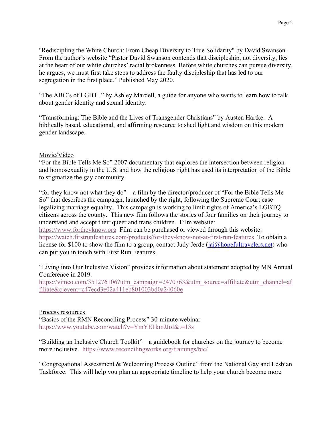"Rediscipling the White Church: From Cheap Diversity to True Solidarity" by David Swanson. From the author's website "Pastor David Swanson contends that discipleship, not diversity, lies at the heart of our white churches' racial brokenness. Before white churches can pursue diversity, he argues, we must first take steps to address the faulty discipleship that has led to our segregation in the first place." Published May 2020.

"The ABC's of LGBT+" by Ashley Mardell, a guide for anyone who wants to learn how to talk about gender identity and sexual identity.

"Transforming: The Bible and the Lives of Transgender Christians" by Austen Hartke. A biblically based, educational, and affirming resource to shed light and wisdom on this modern gender landscape.

#### Movie/Video

"For the Bible Tells Me So" 2007 documentary that explores the intersection between religion and homosexuality in the U.S. and how the religious right has used its interpretation of the Bible to stigmatize the gay community.

"for they know not what they do" – a film by the director/producer of "For the Bible Tells Me So" that describes the campaign, launched by the right, following the Supreme Court case legalizing marriage equality. This campaign is working to limit rights of America's LGBTQ citizens across the county. This new film follows the stories of four families on their journey to understand and accept their queer and trans children. Film website: https://www.fortheyknow.org Film can be purchased or viewed through this website: https://watch.firstrunfeatures.com/products/for-they-know-not-at-first-run-features To obtain a license for \$100 to show the film to a group, contact Judy Jerde ( $jaj@hopefultravelers.net$ ) who can put you in touch with First Run Features.

"Living into Our Inclusive Vision" provides information about statement adopted by MN Annual Conference in 2019.

https://vimeo.com/351276106?utm\_campaign=2470763&utm\_source=affiliate&utm\_channel=af filiate&cjevent=c47ecd3e02a411eb801003bd0a24060e

#### Process resources

"Basics of the RMN Reconciling Process" 30-minute webinar https://www.youtube.com/watch?v=YmYE1kmJJoI&t=13s

"Building an Inclusive Church Toolkit" – a guidebook for churches on the journey to become more inclusive. https://www.reconcilingworks.org/trainings/bic/

"Congregational Assessment & Welcoming Process Outline" from the National Gay and Lesbian Taskforce. This will help you plan an appropriate timeline to help your church become more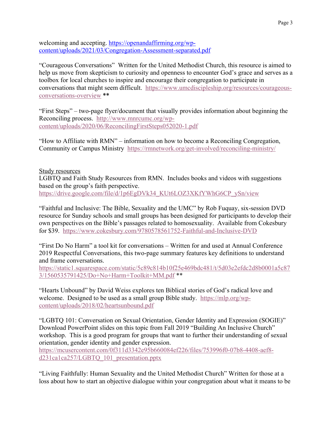welcoming and accepting. https://openandaffirming.org/wpcontent/uploads/2021/03/Congregation-Assessment-separated.pdf

"Courageous Conversations" Written for the United Methodist Church, this resource is aimed to help us move from skepticism to curiosity and openness to encounter God's grace and serves as a toolbox for local churches to inspire and encourage their congregation to participate in conversations that might seem difficult. https://www.umcdiscipleship.org/resources/courageousconversations-overview \*\*

"First Steps" – two-page flyer/document that visually provides information about beginning the Reconciling process. http://www.mnrcumc.org/wpcontent/uploads/2020/06/ReconcilingFirstSteps052020-1.pdf

"How to Affiliate with RMN" – information on how to become a Reconciling Congregation, Community or Campus Ministry https://rmnetwork.org/get-involved/reconciling-ministry/

## Study resources LGBTQ and Faith Study Resources from RMN. Includes books and videos with suggestions based on the group's faith perspective. https://drive.google.com/file/d/1p6EgDVk34\_KUt6LOZ3XKfYWhG6CP\_ySn/view

"Faithful and Inclusive: The Bible, Sexuality and the UMC" by Rob Fuquay, six-session DVD resource for Sunday schools and small groups has been designed for participants to develop their own perspectives on the Bible's passages related to homosexuality. Available from Cokesbury for \$39. https://www.cokesbury.com/9780578561752-Faithful-and-Inclusive-DVD

"First Do No Harm" a tool kit for conversations – Written for and used at Annual Conference 2019 Respectful Conversations, this two-page summary features key definitions to understand and frame conversations.

https://static1.squarespace.com/static/5c89c814b10f25e469bdc481/t/5d03e2efdc2d8b0001a5c87 3/1560535791425/Do+No+Harm+Toolkit+MM.pdf \*\*

"Hearts Unbound" by David Weiss explores ten Biblical stories of God's radical love and welcome. Designed to be used as a small group Bible study. https://mlp.org/wpcontent/uploads/2018/02/heartsunbound.pdf

"LGBTQ 101: Conversation on Sexual Orientation, Gender Identity and Expression (SOGIE)" Download PowerPoint slides on this topic from Fall 2019 "Building An Inclusive Church" workshop. This is a good program for groups that want to further their understanding of sexual orientation, gender identity and gender expression.

https://mcusercontent.com/0f311d3342e95b660084ef226/files/753996f0-07b8-4408-aef8 d231ca1ca257/LGBTQ\_101\_presentation.pptx

"Living Faithfully: Human Sexuality and the United Methodist Church" Written for those at a loss about how to start an objective dialogue within your congregation about what it means to be